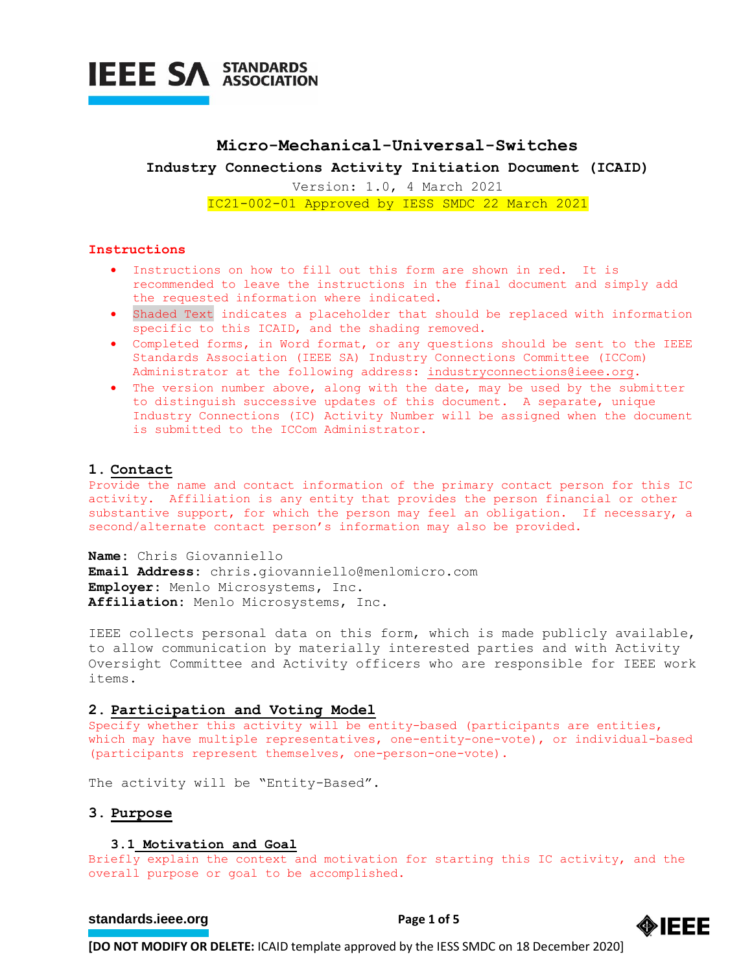

# **Micro-Mechanical-Universal-Switches**

**Industry Connections Activity Initiation Document (ICAID)**

Version: 1.0, 4 March 2021 IC21-002-01 Approved by IESS SMDC 22 March 2021

# **Instructions**

- Instructions on how to fill out this form are shown in red. It is recommended to leave the instructions in the final document and simply add the requested information where indicated.
- Shaded Text indicates a placeholder that should be replaced with information specific to this ICAID, and the shading removed.
- Completed forms, in Word format, or any questions should be sent to the IEEE Standards Association (IEEE SA) Industry Connections Committee (ICCom) Administrator at the following address: [industryconnections@ieee.org.](mailto:industryconnections@ieee.org)
- The version number above, along with the date, may be used by the submitter to distinguish successive updates of this document. A separate, unique Industry Connections (IC) Activity Number will be assigned when the document is submitted to the ICCom Administrator.

## **1. Contact**

Provide the name and contact information of the primary contact person for this IC activity. Affiliation is any entity that provides the person financial or other substantive support, for which the person may feel an obligation. If necessary, a second/alternate contact person's information may also be provided.

**Name:** Chris Giovanniello **Email Address:** chris.giovanniello@menlomicro.com **Employer:** Menlo Microsystems, Inc. **Affiliation:** Menlo Microsystems, Inc.

IEEE collects personal data on this form, which is made publicly available, to allow communication by materially interested parties and with Activity Oversight Committee and Activity officers who are responsible for IEEE work items.

## **2. Participation and Voting Model**

Specify whether this activity will be entity-based (participants are entities, which may have multiple representatives, one-entity-one-vote), or individual-based (participants represent themselves, one-person-one-vote).

The activity will be "Entity-Based".

# **3. Purpose**

## **3.1 Motivation and Goal**

Briefly explain the context and motivation for starting this IC activity, and the overall purpose or goal to be accomplished.

# **[standards.ieee.org](http://standards.ieee.org/) Brandards.ieee.org Brandards.ieee.org Brandards.ieee.org Brandards.ieee.org Brandards.ieee.org Brandards.ieee.org Brandards.ieee.org Brandards.ieee.org Brandards.ieee.org Brandards.i**



**[DO NOT MODIFY OR DELETE:** ICAID template approved by the IESS SMDC on 18 December 2020]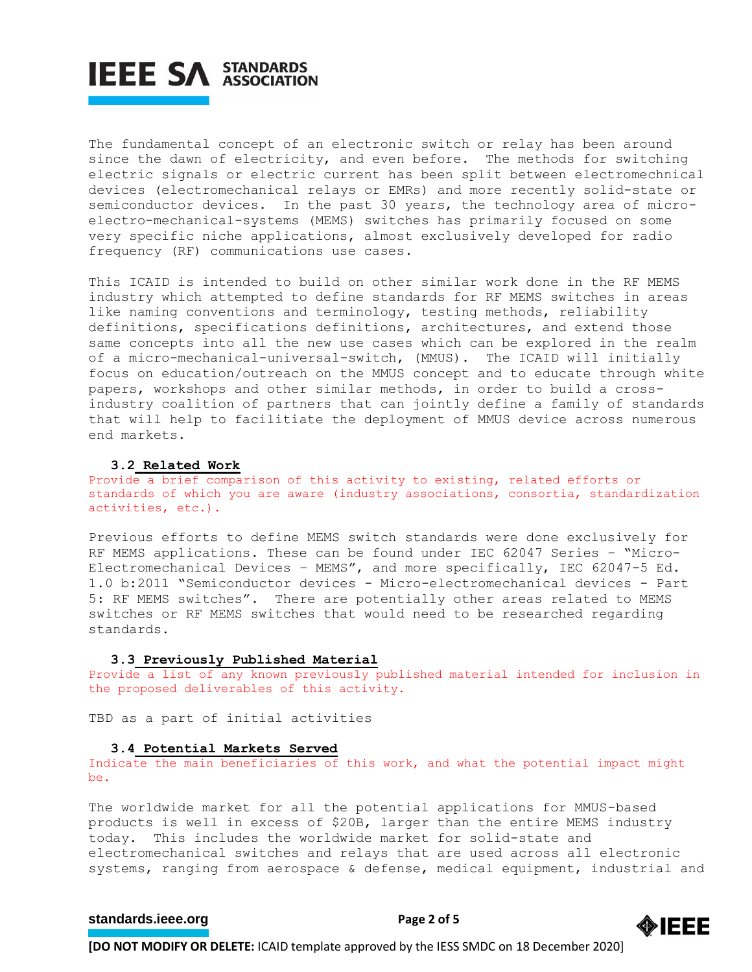

The fundamental concept of an electronic switch or relay has been around since the dawn of electricity, and even before. The methods for switching electric signals or electric current has been split between electromechnical devices (electromechanical relays or EMRs) and more recently solid-state or semiconductor devices. In the past 30 years, the technology area of microelectro-mechanical-systems (MEMS) switches has primarily focused on some very specific niche applications, almost exclusively developed for radio frequency (RF) communications use cases.

This ICAID is intended to build on other similar work done in the RF MEMS industry which attempted to define standards for RF MEMS switches in areas like naming conventions and terminology, testing methods, reliability definitions, specifications definitions, architectures, and extend those same concepts into all the new use cases which can be explored in the realm of a micro-mechanical-universal-switch, (MMUS). The ICAID will initially focus on education/outreach on the MMUS concept and to educate through white papers, workshops and other similar methods, in order to build a crossindustry coalition of partners that can jointly define a family of standards that will help to facilitiate the deployment of MMUS device across numerous end markets.

#### **3.2 Related Work**

Provide a brief comparison of this activity to existing, related efforts or standards of which you are aware (industry associations, consortia, standardization activities, etc.).

Previous efforts to define MEMS switch standards were done exclusively for RF MEMS applications. These can be found under IEC 62047 Series – "Micro-Electromechanical Devices – MEMS", and more specifically, IEC 62047-5 Ed. 1.0 b:2011 "Semiconductor devices - Micro-electromechanical devices - Part 5: RF MEMS switches". There are potentially other areas related to MEMS switches or RF MEMS switches that would need to be researched regarding standards.

## **3.3 Previously Published Material**

Provide a list of any known previously published material intended for inclusion in the proposed deliverables of this activity.

TBD as a part of initial activities

#### **3.4 Potential Markets Served**

Indicate the main beneficiaries of this work, and what the potential impact might be.

The worldwide market for all the potential applications for MMUS-based products is well in excess of \$20B, larger than the entire MEMS industry today. This includes the worldwide market for solid-state and electromechanical switches and relays that are used across all electronic systems, ranging from aerospace & defense, medical equipment, industrial and

# **[standards.ieee.org](http://standards.ieee.org/) Brandards.ieee.org Brandards.ieee.org Brandards.ieee.org Brandards.ieee.org Brandards.ieee.org Brandards.ieee.org Brandards.ieee.org Brandards.ieee.org Brandards.ieee.org Brandards.i**

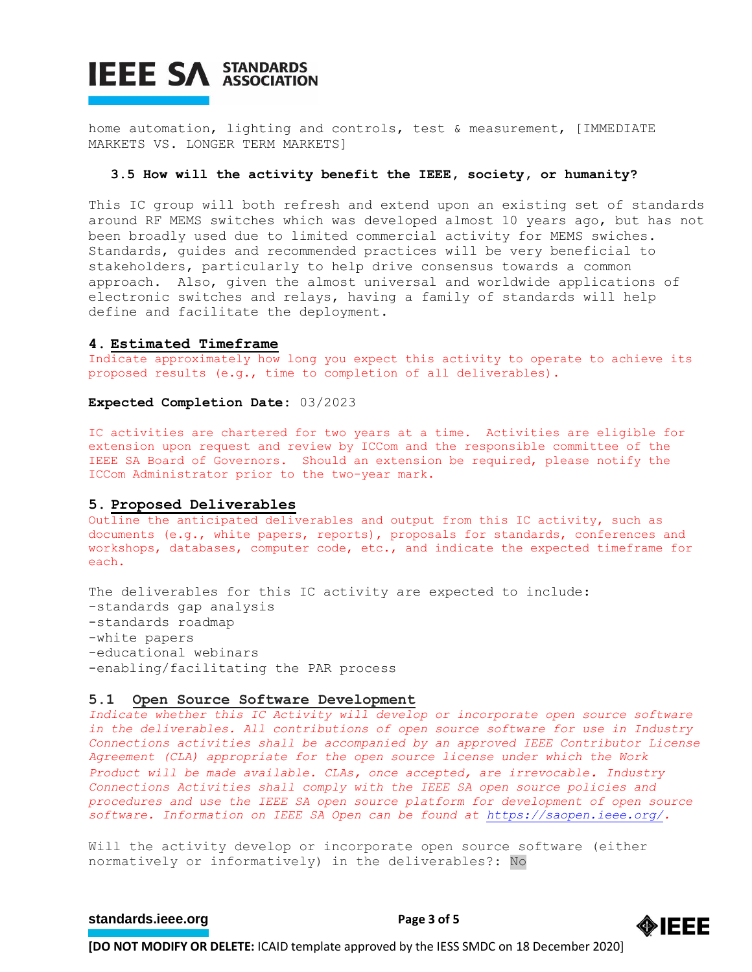# **IEEE SA STANDARDS**

home automation, lighting and controls, test & measurement, [IMMEDIATE MARKETS VS. LONGER TERM MARKETS]

## **3.5 How will the activity benefit the IEEE, society, or humanity?**

This IC group will both refresh and extend upon an existing set of standards around RF MEMS switches which was developed almost 10 years ago, but has not been broadly used due to limited commercial activity for MEMS swiches. Standards, guides and recommended practices will be very beneficial to stakeholders, particularly to help drive consensus towards a common approach. Also, given the almost universal and worldwide applications of electronic switches and relays, having a family of standards will help define and facilitate the deployment.

### **4. Estimated Timeframe**

Indicate approximately how long you expect this activity to operate to achieve its proposed results (e.g., time to completion of all deliverables).

**Expected Completion Date:** 03/2023

IC activities are chartered for two years at a time. Activities are eligible for extension upon request and review by ICCom and the responsible committee of the IEEE SA Board of Governors. Should an extension be required, please notify the ICCom Administrator prior to the two-year mark.

# **5. Proposed Deliverables**

Outline the anticipated deliverables and output from this IC activity, such as documents (e.g., white papers, reports), proposals for standards, conferences and workshops, databases, computer code, etc., and indicate the expected timeframe for each.

The deliverables for this IC activity are expected to include: -standards gap analysis -standards roadmap -white papers -educational webinars -enabling/facilitating the PAR process

#### **5.1 Open Source Software Development**

*Indicate whether this IC Activity will develop or incorporate open source software in the deliverables. All contributions of open source software for use in Industry Connections activities shall be accompanied by an approved IEEE Contributor License Agreement (CLA) appropriate for the open source license under which the Work Product will be made available. CLAs, once accepted, are irrevocable. Industry Connections Activities shall comply with the IEEE SA open source policies and procedures and use the IEEE SA open source platform for development of open source software. Information on IEEE SA Open can be found at [https://saopen.ieee.org/.](https://saopen.ieee.org/)* 

Will the activity develop or incorporate open source software (either normatively or informatively) in the deliverables?: No

# **[standards.ieee.org](http://standards.ieee.org/) EXECUTE: Page 3 of 5**



**[DO NOT MODIFY OR DELETE:** ICAID template approved by the IESS SMDC on 18 December 2020]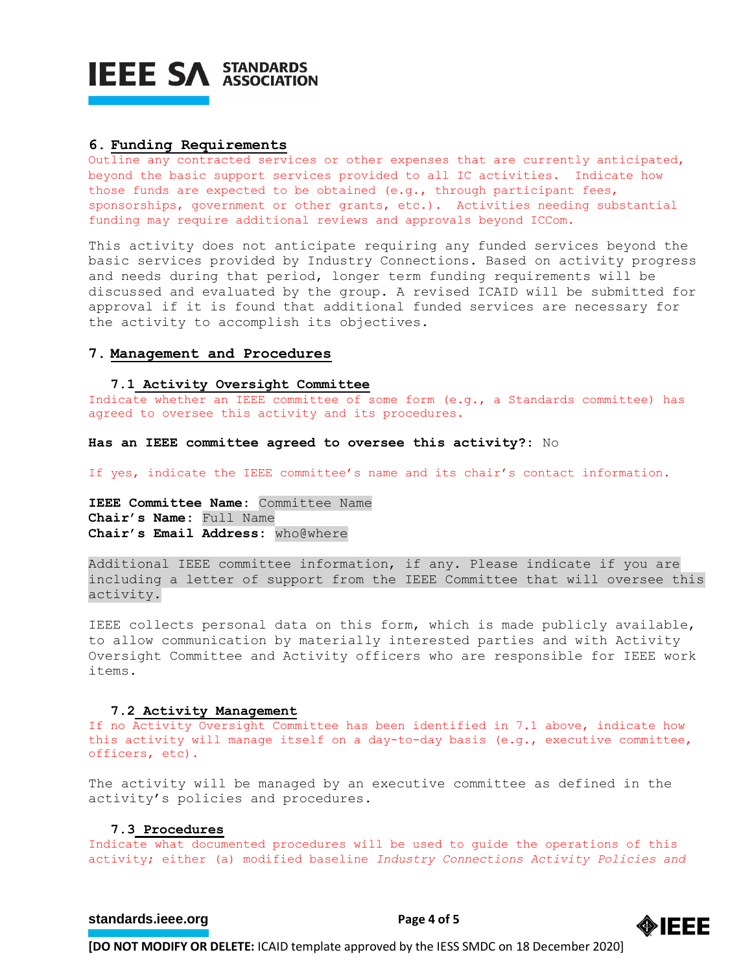

### **6. Funding Requirements**

Outline any contracted services or other expenses that are currently anticipated, beyond the basic support services provided to all IC activities. Indicate how those funds are expected to be obtained (e.g., through participant fees, sponsorships, government or other grants, etc.). Activities needing substantial funding may require additional reviews and approvals beyond ICCom.

This activity does not anticipate requiring any funded services beyond the basic services provided by Industry Connections. Based on activity progress and needs during that period, longer term funding requirements will be discussed and evaluated by the group. A revised ICAID will be submitted for approval if it is found that additional funded services are necessary for the activity to accomplish its objectives.

## **7. Management and Procedures**

#### **7.1 Activity Oversight Committee**

Indicate whether an IEEE committee of some form (e.g., a Standards committee) has agreed to oversee this activity and its procedures.

**Has an IEEE committee agreed to oversee this activity?:** No

If yes, indicate the IEEE committee's name and its chair's contact information.

**IEEE Committee Name:** Committee Name **Chair's Name:** Full Name **Chair's Email Address:** who@where

Additional IEEE committee information, if any. Please indicate if you are including a letter of support from the IEEE Committee that will oversee this activity.

IEEE collects personal data on this form, which is made publicly available, to allow communication by materially interested parties and with Activity Oversight Committee and Activity officers who are responsible for IEEE work items.

### **7.2 Activity Management**

If no Activity Oversight Committee has been identified in 7.1 above, indicate how this activity will manage itself on a day-to-day basis (e.g., executive committee, officers, etc).

The activity will be managed by an executive committee as defined in the activity's policies and procedures.

#### **7.3 Procedures**

Indicate what documented procedures will be used to guide the operations of this activity; either (a) modified baseline *Industry Connections Activity Policies and* 

# **[standards.ieee.org](http://standards.ieee.org/) Brandards.ieee.org Brandards.ieee.org Brandards.ieee.org Brandards.ieee.org Brandards.ieee.org Brandards.ieee.org Brandards.ieee.org Brandards.ieee.org Brandards.ieee.org Brandards.i**